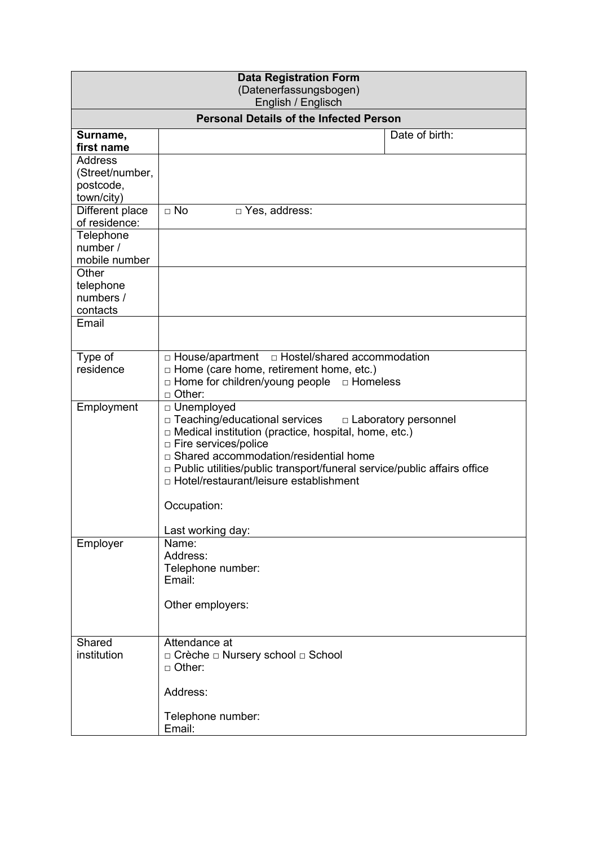| <b>Data Registration Form</b><br>(Datenerfassungsbogen)<br>English / Englisch |                                                                                                                                                                                                                                                                                                                                                                 |                |  |  |  |  |  |
|-------------------------------------------------------------------------------|-----------------------------------------------------------------------------------------------------------------------------------------------------------------------------------------------------------------------------------------------------------------------------------------------------------------------------------------------------------------|----------------|--|--|--|--|--|
| <b>Personal Details of the Infected Person</b>                                |                                                                                                                                                                                                                                                                                                                                                                 |                |  |  |  |  |  |
| Surname,<br>first name                                                        |                                                                                                                                                                                                                                                                                                                                                                 | Date of birth: |  |  |  |  |  |
| <b>Address</b><br>(Street/number,<br>postcode,<br>town/city)                  |                                                                                                                                                                                                                                                                                                                                                                 |                |  |  |  |  |  |
| Different place<br>of residence:                                              | $\Box$ No<br>□ Yes, address:                                                                                                                                                                                                                                                                                                                                    |                |  |  |  |  |  |
| Telephone<br>number /<br>mobile number                                        |                                                                                                                                                                                                                                                                                                                                                                 |                |  |  |  |  |  |
| Other<br>telephone<br>numbers /<br>contacts                                   |                                                                                                                                                                                                                                                                                                                                                                 |                |  |  |  |  |  |
| Email                                                                         |                                                                                                                                                                                                                                                                                                                                                                 |                |  |  |  |  |  |
| Type of<br>residence                                                          | □ House/apartment □ Hostel/shared accommodation<br>$\Box$ Home (care home, retirement home, etc.)<br>$\Box$ Home for children/young people $\Box$ Homeless<br>$\Box$ Other:                                                                                                                                                                                     |                |  |  |  |  |  |
| Employment                                                                    | □ Unemployed<br>$\Box$ Teaching/educational services<br>$\Box$ Laboratory personnel<br>$\Box$ Medical institution (practice, hospital, home, etc.)<br>□ Fire services/police<br>□ Shared accommodation/residential home<br>p Public utilities/public transport/funeral service/public affairs office<br>□ Hotel/restaurant/leisure establishment<br>Occupation: |                |  |  |  |  |  |
|                                                                               | Last working day:                                                                                                                                                                                                                                                                                                                                               |                |  |  |  |  |  |
| Employer                                                                      | Name:<br>Address:<br>Telephone number:<br>Email:<br>Other employers:                                                                                                                                                                                                                                                                                            |                |  |  |  |  |  |
| Shared<br>institution                                                         | Attendance at<br>□ Crèche □ Nursery school □ School                                                                                                                                                                                                                                                                                                             |                |  |  |  |  |  |
|                                                                               | $\Box$ Other:<br>Address:                                                                                                                                                                                                                                                                                                                                       |                |  |  |  |  |  |
|                                                                               | Telephone number:<br>Email:                                                                                                                                                                                                                                                                                                                                     |                |  |  |  |  |  |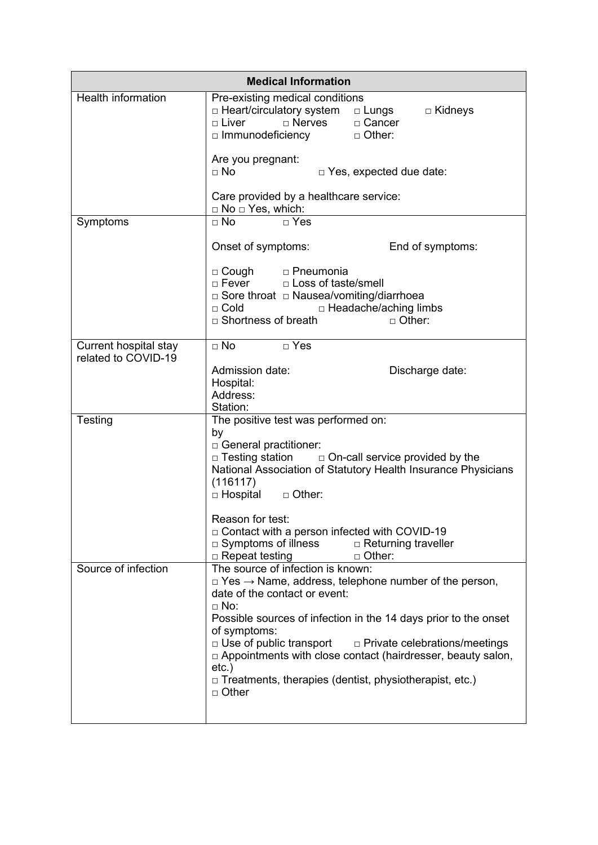| <b>Medical Information</b>                   |                                                                                                                                                                                                                                                                                                                                                                                                                                                                                             |  |  |  |  |  |
|----------------------------------------------|---------------------------------------------------------------------------------------------------------------------------------------------------------------------------------------------------------------------------------------------------------------------------------------------------------------------------------------------------------------------------------------------------------------------------------------------------------------------------------------------|--|--|--|--|--|
| <b>Health information</b>                    | Pre-existing medical conditions<br>□ Heart/circulatory system  □ Lungs<br>□ Kidneys<br>□ Cancer<br>$\Box$ Liver<br>$\Box$ Nerves<br>$\Box$ Immunodeficiency<br>□ Other:                                                                                                                                                                                                                                                                                                                     |  |  |  |  |  |
|                                              | Are you pregnant:<br>$\Box$ No<br>$\Box$ Yes, expected due date:                                                                                                                                                                                                                                                                                                                                                                                                                            |  |  |  |  |  |
|                                              | Care provided by a healthcare service:<br>$\Box$ No $\Box$ Yes, which:                                                                                                                                                                                                                                                                                                                                                                                                                      |  |  |  |  |  |
| Symptoms                                     | $\Box$ No<br>$\Box$ Yes                                                                                                                                                                                                                                                                                                                                                                                                                                                                     |  |  |  |  |  |
|                                              | Onset of symptoms:<br>End of symptoms:                                                                                                                                                                                                                                                                                                                                                                                                                                                      |  |  |  |  |  |
|                                              | □ Cough □ Pneumonia<br>□ Loss of taste/smell<br>$\Box$ Fever<br>□ Sore throat □ Nausea/vomiting/diarrhoea<br>□ Headache/aching limbs<br>$\Box$ Cold<br>$\Box$ Shortness of breath<br>$\Box$ Other:                                                                                                                                                                                                                                                                                          |  |  |  |  |  |
| Current hospital stay<br>related to COVID-19 | $\overline{\cap}$ No<br>$\Box$ Yes                                                                                                                                                                                                                                                                                                                                                                                                                                                          |  |  |  |  |  |
|                                              | Admission date:<br>Discharge date:<br>Hospital:<br>Address:<br>Station:                                                                                                                                                                                                                                                                                                                                                                                                                     |  |  |  |  |  |
| Testing                                      | The positive test was performed on:                                                                                                                                                                                                                                                                                                                                                                                                                                                         |  |  |  |  |  |
|                                              | by<br>□ General practitioner:<br>$\Box$ Testing station<br>$\Box$ On-call service provided by the<br>National Association of Statutory Health Insurance Physicians<br>(116117)<br>□ Hospital □ Other:                                                                                                                                                                                                                                                                                       |  |  |  |  |  |
|                                              | Reason for test:<br>$\Box$ Contact with a person infected with COVID-19<br>$\Box$ Symptoms of illness<br>$\Box$ Returning traveller<br>$\Box$ Repeat testing<br>$\Box$ Other:                                                                                                                                                                                                                                                                                                               |  |  |  |  |  |
| Source of infection                          | The source of infection is known:<br>$\Box$ Yes $\rightarrow$ Name, address, telephone number of the person,<br>date of the contact or event:<br>$\Box$ No:<br>Possible sources of infection in the 14 days prior to the onset<br>of symptoms:<br>$\Box$ Use of public transport<br>$\Box$ Private celebrations/meetings<br>$\Box$ Appointments with close contact (hairdresser, beauty salon,<br>$etc.$ )<br>$\Box$ Treatments, therapies (dentist, physiotherapist, etc.)<br>$\Box$ Other |  |  |  |  |  |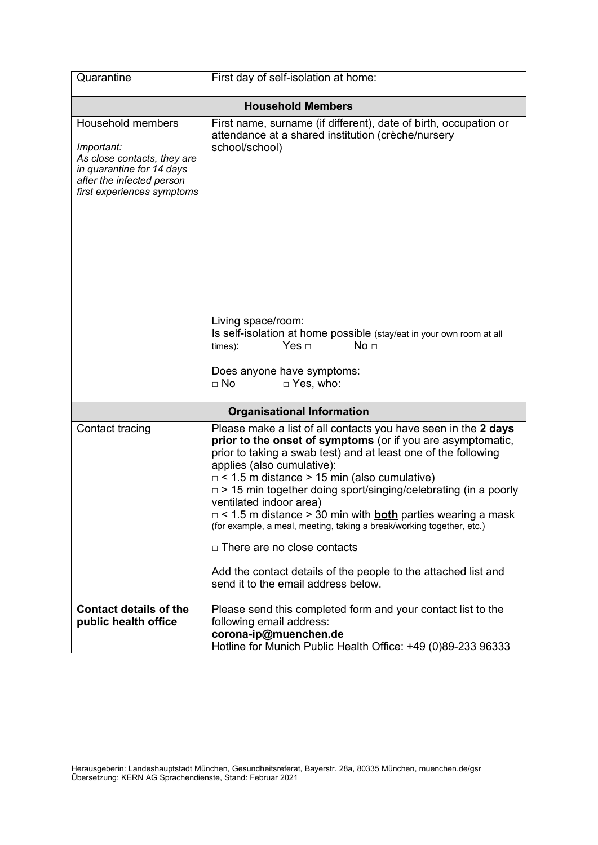| Quarantine                                                                                                                                             | First day of self-isolation at home:                                                                                                                                                                                                                                                                                                                                                                                                                                                                                                                                                                                                                                                        |  |  |  |  |  |  |
|--------------------------------------------------------------------------------------------------------------------------------------------------------|---------------------------------------------------------------------------------------------------------------------------------------------------------------------------------------------------------------------------------------------------------------------------------------------------------------------------------------------------------------------------------------------------------------------------------------------------------------------------------------------------------------------------------------------------------------------------------------------------------------------------------------------------------------------------------------------|--|--|--|--|--|--|
| <b>Household Members</b>                                                                                                                               |                                                                                                                                                                                                                                                                                                                                                                                                                                                                                                                                                                                                                                                                                             |  |  |  |  |  |  |
| Household members<br>Important:<br>As close contacts, they are<br>in quarantine for 14 days<br>after the infected person<br>first experiences symptoms | First name, surname (if different), date of birth, occupation or<br>attendance at a shared institution (crèche/nursery<br>school/school)                                                                                                                                                                                                                                                                                                                                                                                                                                                                                                                                                    |  |  |  |  |  |  |
|                                                                                                                                                        | Living space/room:<br>Is self-isolation at home possible (stay/eat in your own room at all<br>Yes $\Box$<br>No <sub>1</sub><br>times):<br>Does anyone have symptoms:<br>$\Box$ Yes, who:<br>$\Box$ No                                                                                                                                                                                                                                                                                                                                                                                                                                                                                       |  |  |  |  |  |  |
|                                                                                                                                                        | <b>Organisational Information</b>                                                                                                                                                                                                                                                                                                                                                                                                                                                                                                                                                                                                                                                           |  |  |  |  |  |  |
| Contact tracing                                                                                                                                        | Please make a list of all contacts you have seen in the 2 days<br>prior to the onset of symptoms (or if you are asymptomatic,<br>prior to taking a swab test) and at least one of the following<br>applies (also cumulative):<br>$\Box$ < 1.5 m distance > 15 min (also cumulative)<br>$\Box$ > 15 min together doing sport/singing/celebrating (in a poorly<br>ventilated indoor area)<br>$\Box$ < 1.5 m distance > 30 min with <b>both</b> parties wearing a mask<br>(for example, a meal, meeting, taking a break/working together, etc.)<br>$\Box$ There are no close contacts<br>Add the contact details of the people to the attached list and<br>send it to the email address below. |  |  |  |  |  |  |
| <b>Contact details of the</b><br>public health office                                                                                                  | Please send this completed form and your contact list to the<br>following email address:<br>corona-ip@muenchen.de<br>Hotline for Munich Public Health Office: +49 (0)89-233 96333                                                                                                                                                                                                                                                                                                                                                                                                                                                                                                           |  |  |  |  |  |  |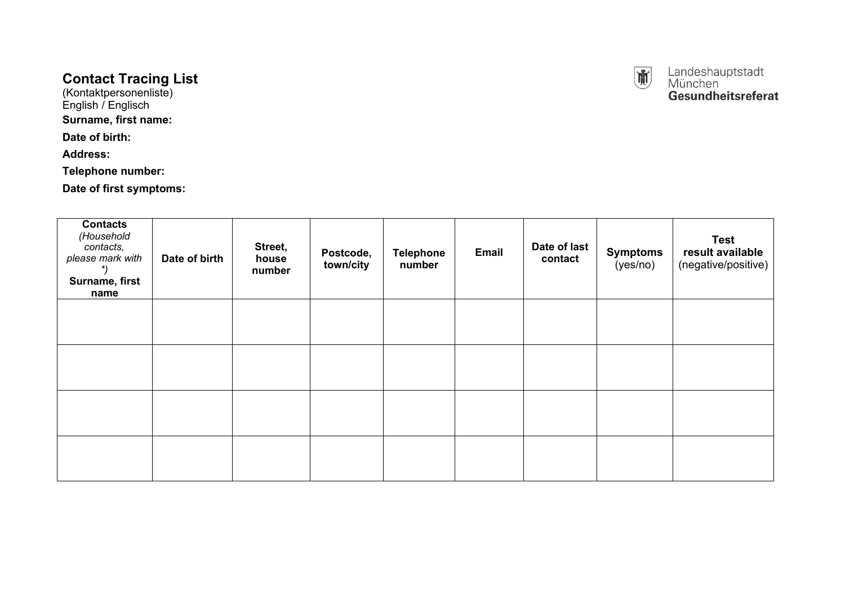# **Contact Tracing List**

(Kontaktpersonenliste) English / Englisch

### **Surname, first name:**

**Date of birth:**

**Address:**

**Telephone number:**

**Date of first symptoms:**

| <b>Contacts</b><br>(Household<br>contacts,<br>please mark with<br>Surname, first<br>name | Date of birth | Street,<br>house<br>number | Postcode,<br>town/city | <b>Telephone</b><br>number | Email | Date of last<br>contact | <b>Symptoms</b><br>(yes/no) | <b>Test</b><br>result available<br>(negative/positive) |
|------------------------------------------------------------------------------------------|---------------|----------------------------|------------------------|----------------------------|-------|-------------------------|-----------------------------|--------------------------------------------------------|
|                                                                                          |               |                            |                        |                            |       |                         |                             |                                                        |
|                                                                                          |               |                            |                        |                            |       |                         |                             |                                                        |
|                                                                                          |               |                            |                        |                            |       |                         |                             |                                                        |
|                                                                                          |               |                            |                        |                            |       |                         |                             |                                                        |



Landeshauptstadt<br>München<br>**Gesundheitsreferat**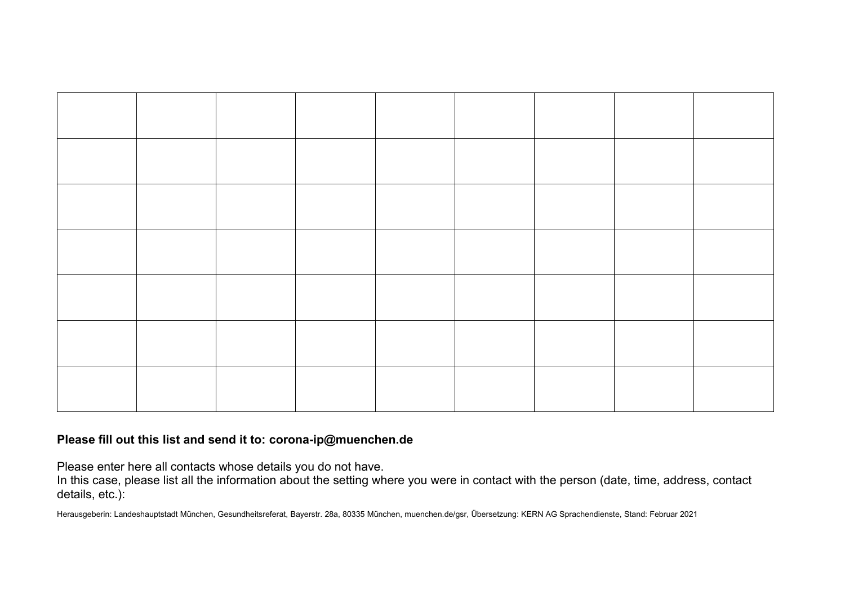

## **Please fill out this list and send it to: corona-ip@muenchen.de**

Please enter here all contacts whose details you do not have.

In this case, please list all the information about the setting where you were in contact with the person (date, time, address, contact details, etc.):

Herausgeberin: Landeshauptstadt München, Gesundheitsreferat, Bayerstr. 28a, 80335 München, muenchen.de/gsr, Übersetzung: KERN AG Sprachendienste, Stand: Februar 2021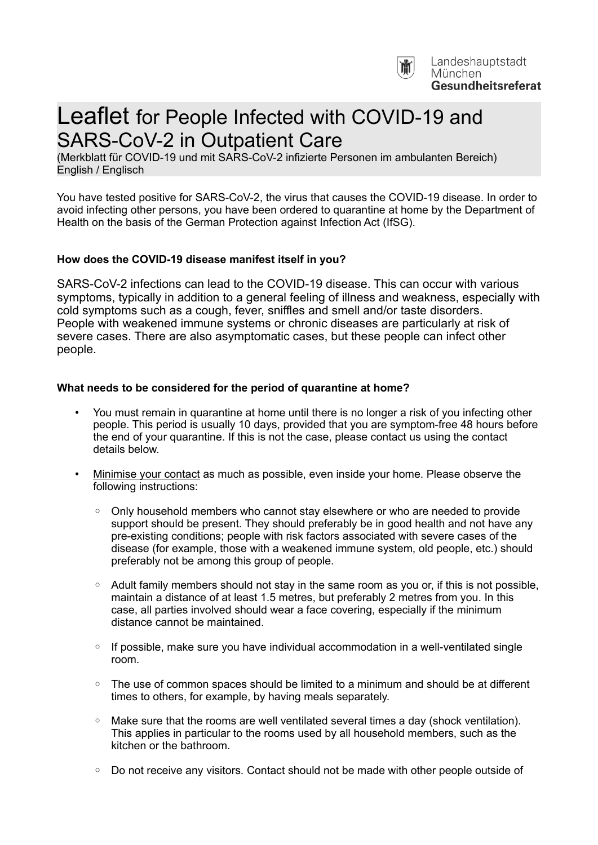

# Leaflet for People Infected with COVID-19 and SARS-CoV-2 in Outpatient Care

(Merkblatt für COVID-19 und mit SARS-CoV-2 infizierte Personen im ambulanten Bereich) English / Englisch

You have tested positive for SARS-CoV-2, the virus that causes the COVID-19 disease. In order to avoid infecting other persons, you have been ordered to quarantine at home by the Department of Health on the basis of the German Protection against Infection Act (IfSG).

#### **How does the COVID-19 disease manifest itself in you?**

SARS-CoV-2 infections can lead to the COVID-19 disease. This can occur with various symptoms, typically in addition to a general feeling of illness and weakness, especially with cold symptoms such as a cough, fever, sniffles and smell and/or taste disorders. People with weakened immune systems or chronic diseases are particularly at risk of severe cases. There are also asymptomatic cases, but these people can infect other people.

#### **What needs to be considered for the period of quarantine at home?**

- You must remain in quarantine at home until there is no longer a risk of you infecting other people. This period is usually 10 days, provided that you are symptom-free 48 hours before the end of your quarantine. If this is not the case, please contact us using the contact details below.
- Minimise your contact as much as possible, even inside your home. Please observe the following instructions:
	- Only household members who cannot stay elsewhere or who are needed to provide support should be present. They should preferably be in good health and not have any pre-existing conditions; people with risk factors associated with severe cases of the disease (for example, those with a weakened immune system, old people, etc.) should preferably not be among this group of people.
	- Adult family members should not stay in the same room as you or, if this is not possible, maintain a distance of at least 1.5 metres, but preferably 2 metres from you. In this case, all parties involved should wear a face covering, especially if the minimum distance cannot be maintained.
	- If possible, make sure you have individual accommodation in a well-ventilated single room.
	- The use of common spaces should be limited to a minimum and should be at different times to others, for example, by having meals separately.
	- Make sure that the rooms are well ventilated several times a day (shock ventilation). This applies in particular to the rooms used by all household members, such as the kitchen or the bathroom.
	- Do not receive any visitors. Contact should not be made with other people outside of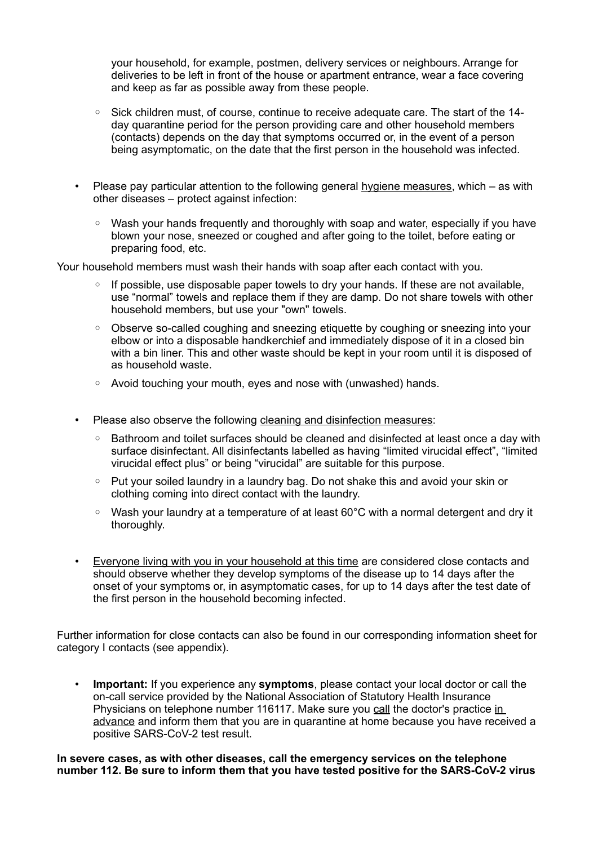your household, for example, postmen, delivery services or neighbours. Arrange for deliveries to be left in front of the house or apartment entrance, wear a face covering and keep as far as possible away from these people.

- Sick children must, of course, continue to receive adequate care. The start of the 14 day quarantine period for the person providing care and other household members (contacts) depends on the day that symptoms occurred or, in the event of a person being asymptomatic, on the date that the first person in the household was infected.
- Please pay particular attention to the following general hygiene measures, which as with other diseases – protect against infection:
	- Wash your hands frequently and thoroughly with soap and water, especially if you have blown your nose, sneezed or coughed and after going to the toilet, before eating or preparing food, etc.

Your household members must wash their hands with soap after each contact with you.

- If possible, use disposable paper towels to dry your hands. If these are not available, use "normal" towels and replace them if they are damp. Do not share towels with other household members, but use your "own" towels.
- Observe so-called coughing and sneezing etiquette by coughing or sneezing into your elbow or into a disposable handkerchief and immediately dispose of it in a closed bin with a bin liner. This and other waste should be kept in your room until it is disposed of as household waste.
- Avoid touching your mouth, eyes and nose with (unwashed) hands.
- Please also observe the following cleaning and disinfection measures:
	- Bathroom and toilet surfaces should be cleaned and disinfected at least once a day with surface disinfectant. All disinfectants labelled as having "limited virucidal effect", "limited virucidal effect plus" or being "virucidal" are suitable for this purpose.
	- Put your soiled laundry in a laundry bag. Do not shake this and avoid your skin or clothing coming into direct contact with the laundry.
	- Wash your laundry at a temperature of at least 60°C with a normal detergent and dry it thoroughly.
- Everyone living with you in your household at this time are considered close contacts and should observe whether they develop symptoms of the disease up to 14 days after the onset of your symptoms or, in asymptomatic cases, for up to 14 days after the test date of the first person in the household becoming infected.

Further information for close contacts can also be found in our corresponding information sheet for category I contacts (see appendix).

• **Important:** If you experience any **symptoms**, please contact your local doctor or call the on-call service provided by the National Association of Statutory Health Insurance Physicians on telephone number 116117. Make sure you call the doctor's practice in advance and inform them that you are in quarantine at home because you have received a positive SARS-CoV-2 test result.

**In severe cases, as with other diseases, call the emergency services on the telephone number 112. Be sure to inform them that you have tested positive for the SARS-CoV-2 virus**